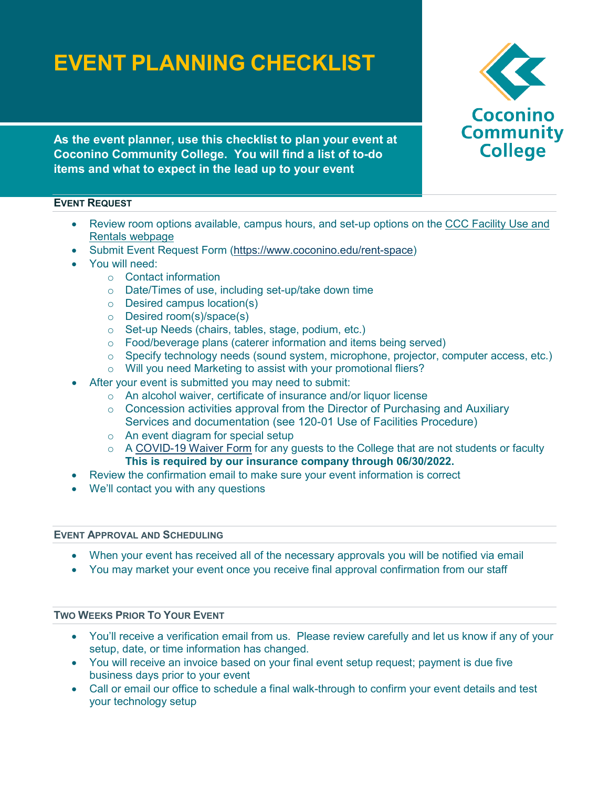# **EVENT PLANNING CHECKLIST**



**As the event planner, use this checklist to plan your event at Coconino Community College. You will find a list of to-do items and what to expect in the lead up to your event**

# **EVENT REQUEST**

- Review room options available, campus hours, and set-up options on the [CCC Facility Use and](https://www.coconino.edu/rent-space)  [Rentals webpage](https://www.coconino.edu/rent-space)
- Submit Event Request Form [\(https://www.coconino.edu/rent-space\)](https://www.coconino.edu/rent-space)
- You will need:
	- o Contact information
	- o Date/Times of use, including set-up/take down time
	- o Desired campus location(s)
	- o Desired room(s)/space(s)
	- o Set-up Needs (chairs, tables, stage, podium, etc.)
	- o Food/beverage plans (caterer information and items being served)
	- o Specify technology needs (sound system, microphone, projector, computer access, etc.)
	- o Will you need Marketing to assist with your promotional fliers?
- After your event is submitted you may need to submit:
	- o An alcohol waiver, certificate of insurance and/or liquor license
	- o Concession activities approval from the Director of Purchasing and Auxiliary Services and documentation (see 120-01 Use of Facilities Procedure)
	- o An event diagram for special setup
	- $\circ$  A [COVID-19 Waiver Form](https://hipaa.jotform.com/211885618911159) for any guests to the College that are not students or faculty **This is required by our insurance company through 06/30/2022.**
- Review the confirmation email to make sure your event information is correct
- We'll contact you with any questions

#### **EVENT APPROVAL AND SCHEDULING**

- When your event has received all of the necessary approvals you will be notified via email
- You may market your event once you receive final approval confirmation from our staff

## **TWO WEEKS PRIOR TO YOUR EVENT**

- You'll receive a verification email from us. Please review carefully and let us know if any of your setup, date, or time information has changed.
- You will receive an invoice based on your final event setup request; payment is due five business days prior to your event
- Call or email our office to schedule a final walk-through to confirm your event details and test your technology setup